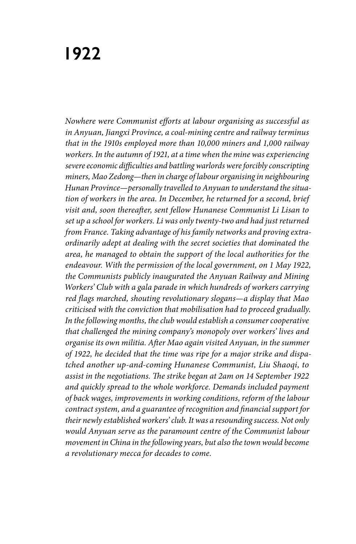## **1922**

*Nowhere were Communist efforts at labour organising as successful as in Anyuan, Jiangxi Province, a coal-mining centre and railway terminus that in the 1910s employed more than 10,000 miners and 1,000 railway workers. In the autumn of 1921, at a time when the mine was experiencing severe economic difficulties and battling warlords were forcibly conscripting miners, Mao Zedong—then in charge of labour organising in neighbouring Hunan Province—personally travelled to Anyuan to understand the situation of workers in the area. In December, he returned for a second, brief visit and, soon thereafter, sent fellow Hunanese Communist Li Lisan to set up a school for workers. Li was only twenty-two and had just returned from France. Taking advantage of his family networks and proving extraordinarily adept at dealing with the secret societies that dominated the area, he managed to obtain the support of the local authorities for the endeavour. With the permission of the local government, on 1 May 1922, the Communists publicly inaugurated the Anyuan Railway and Mining Workers' Club with a gala parade in which hundreds of workers carrying red flags marched, shouting revolutionary slogans—a display that Mao criticised with the conviction that mobilisation had to proceed gradually. In the following months, the club would establish a consumer cooperative that challenged the mining company's monopoly over workers' lives and organise its own militia. After Mao again visited Anyuan, in the summer of 1922, he decided that the time was ripe for a major strike and dispatched another up-and-coming Hunanese Communist, Liu Shaoqi, to assist in the negotiations. The strike began at 2am on 14 September 1922 and quickly spread to the whole workforce. Demands included payment of back wages, improvements in working conditions, reform of the labour contract system, and a guarantee of recognition and financial support for their newly established workers' club. It was a resounding success. Not only would Anyuan serve as the paramount centre of the Communist labour movement in China in the following years, but also the town would become a revolutionary mecca for decades to come.*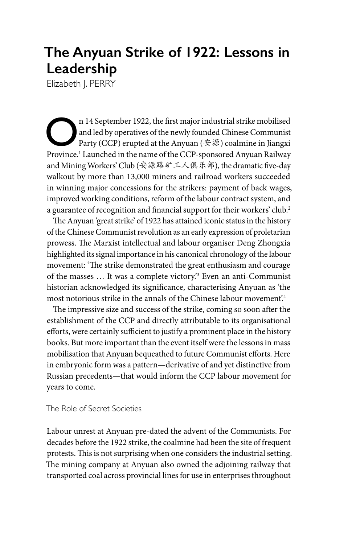## **The Anyuan Strike of 1922: Lessons in Leadership**

Elizabeth J. PERRY

**On** 14 September 1922, the first major industrial strike mobilised<br>and led by operatives of the newly founded Chinese Communist<br>Party (CCP) erupted at the Anyuan (安源) coalmine in Jiangxi<br>Province  $\frac{1}{2}$  aunched in the and led by operatives of the newly founded Chinese Communist Province.<sup>1</sup> Launched in the name of the CCP-sponsored Anyuan Railway and Mining Workers' Club (安源路矿工人俱乐部), the dramatic five-day walkout by more than 13,000 miners and railroad workers succeeded in winning major concessions for the strikers: payment of back wages, improved working conditions, reform of the labour contract system, and a guarantee of recognition and financial support for their workers' club.2

The Anyuan 'great strike' of 1922 has attained iconic status in the history of the Chinese Communist revolution as an early expression of proletarian prowess. The Marxist intellectual and labour organiser Deng Zhongxia highlighted its signal importance in his canonical chronology of the labour movement: 'The strike demonstrated the great enthusiasm and courage of the masses … It was a complete victory.'3 Even an anti-Communist historian acknowledged its significance, characterising Anyuan as 'the most notorious strike in the annals of the Chinese labour movement'.4

The impressive size and success of the strike, coming so soon after the establishment of the CCP and directly attributable to its organisational efforts, were certainly sufficient to justify a prominent place in the history books. But more important than the event itself were the lessons in mass mobilisation that Anyuan bequeathed to future Communist efforts. Here in embryonic form was a pattern—derivative of and yet distinctive from Russian precedents—that would inform the CCP labour movement for years to come.

The Role of Secret Societies

Labour unrest at Anyuan pre-dated the advent of the Communists. For decades before the 1922 strike, the coalmine had been the site of frequent protests. This is not surprising when one considers the industrial setting. The mining company at Anyuan also owned the adjoining railway that transported coal across provincial lines for use in enterprises throughout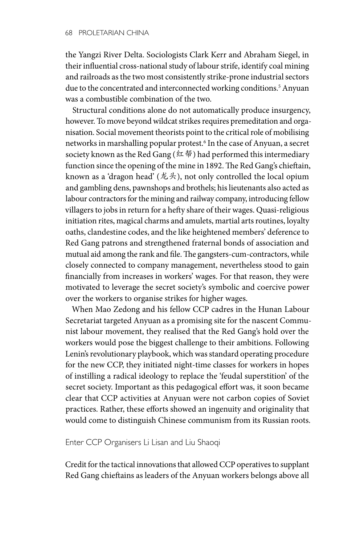the Yangzi River Delta. Sociologists Clark Kerr and Abraham Siegel, in their influential cross-national study of labour strife, identify coal mining and railroads as the two most consistently strike-prone industrial sectors due to the concentrated and interconnected working conditions.5 Anyuan was a combustible combination of the two.

Structural conditions alone do not automatically produce insurgency, however. To move beyond wildcat strikes requires premeditation and organisation. Social movement theorists point to the critical role of mobilising networks in marshalling popular protest.6 In the case of Anyuan, a secret society known as the Red Gang ( $(4\frac{1}{3})$  had performed this intermediary function since the opening of the mine in 1892. The Red Gang's chieftain, known as a 'dragon head'  $(\n&\text{#})$ , not only controlled the local opium and gambling dens, pawnshops and brothels; his lieutenants also acted as labour contractors for the mining and railway company, introducing fellow villagers to jobs in return for a hefty share of their wages. Quasi-religious initiation rites, magical charms and amulets, martial arts routines, loyalty oaths, clandestine codes, and the like heightened members' deference to Red Gang patrons and strengthened fraternal bonds of association and mutual aid among the rank and file. The gangsters-cum-contractors, while closely connected to company management, nevertheless stood to gain financially from increases in workers' wages. For that reason, they were motivated to leverage the secret society's symbolic and coercive power over the workers to organise strikes for higher wages.

When Mao Zedong and his fellow CCP cadres in the Hunan Labour Secretariat targeted Anyuan as a promising site for the nascent Communist labour movement, they realised that the Red Gang's hold over the workers would pose the biggest challenge to their ambitions. Following Lenin's revolutionary playbook, which was standard operating procedure for the new CCP, they initiated night-time classes for workers in hopes of instilling a radical ideology to replace the 'feudal superstition' of the secret society. Important as this pedagogical effort was, it soon became clear that CCP activities at Anyuan were not carbon copies of Soviet practices. Rather, these efforts showed an ingenuity and originality that would come to distinguish Chinese communism from its Russian roots.

Enter CCP Organisers Li Lisan and Liu Shaoqi

Credit for the tactical innovations that allowed CCP operatives to supplant Red Gang chieftains as leaders of the Anyuan workers belongs above all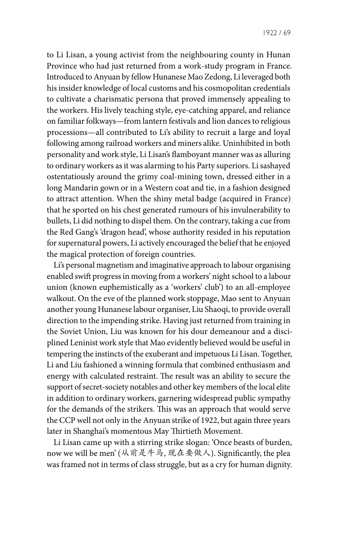to Li Lisan, a young activist from the neighbouring county in Hunan Province who had just returned from a work-study program in France. Introduced to Anyuan by fellow Hunanese Mao Zedong, Li leveraged both his insider knowledge of local customs and his cosmopolitan credentials to cultivate a charismatic persona that proved immensely appealing to the workers. His lively teaching style, eye-catching apparel, and reliance on familiar folkways—from lantern festivals and lion dances to religious processions—all contributed to Li's ability to recruit a large and loyal following among railroad workers and miners alike. Uninhibited in both personality and work style, Li Lisan's flamboyant manner was as alluring to ordinary workers as it was alarming to his Party superiors. Li sashayed ostentatiously around the grimy coal-mining town, dressed either in a long Mandarin gown or in a Western coat and tie, in a fashion designed to attract attention. When the shiny metal badge (acquired in France) that he sported on his chest generated rumours of his invulnerability to bullets, Li did nothing to dispel them. On the contrary, taking a cue from the Red Gang's 'dragon head', whose authority resided in his reputation for supernatural powers, Li actively encouraged the belief that he enjoyed the magical protection of foreign countries.

Li's personal magnetism and imaginative approach to labour organising enabled swift progress in moving from a workers' night school to a labour union (known euphemistically as a 'workers' club') to an all-employee walkout. On the eve of the planned work stoppage, Mao sent to Anyuan another young Hunanese labour organiser, Liu Shaoqi, to provide overall direction to the impending strike. Having just returned from training in the Soviet Union, Liu was known for his dour demeanour and a disciplined Leninist work style that Mao evidently believed would be useful in tempering the instincts of the exuberant and impetuous Li Lisan. Together, Li and Liu fashioned a winning formula that combined enthusiasm and energy with calculated restraint. The result was an ability to secure the support of secret-society notables and other key members of the local elite in addition to ordinary workers, garnering widespread public sympathy for the demands of the strikers. This was an approach that would serve the CCP well not only in the Anyuan strike of 1922, but again three years later in Shanghai's momentous May Thirtieth Movement.

Li Lisan came up with a stirring strike slogan: 'Once beasts of burden, now we will be men' (从前是牛马, 现在要做人). Significantly, the plea was framed not in terms of class struggle, but as a cry for human dignity.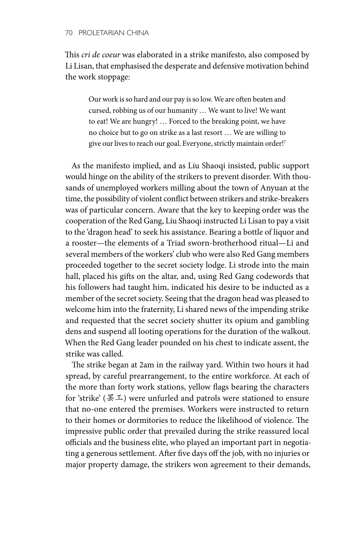This *cri de coeur* was elaborated in a strike manifesto, also composed by Li Lisan, that emphasised the desperate and defensive motivation behind the work stoppage:

Our work is so hard and our pay is so low. We are often beaten and cursed, robbing us of our humanity … We want to live! We want to eat! We are hungry! … Forced to the breaking point, we have no choice but to go on strike as a last resort … We are willing to give our lives to reach our goal. Everyone, strictly maintain order!7

As the manifesto implied, and as Liu Shaoqi insisted, public support would hinge on the ability of the strikers to prevent disorder. With thousands of unemployed workers milling about the town of Anyuan at the time, the possibility of violent conflict between strikers and strike-breakers was of particular concern. Aware that the key to keeping order was the cooperation of the Red Gang, Liu Shaoqi instructed Li Lisan to pay a visit to the 'dragon head' to seek his assistance. Bearing a bottle of liquor and a rooster—the elements of a Triad sworn-brotherhood ritual—Li and several members of the workers' club who were also Red Gang members proceeded together to the secret society lodge. Li strode into the main hall, placed his gifts on the altar, and, using Red Gang codewords that his followers had taught him, indicated his desire to be inducted as a member of the secret society. Seeing that the dragon head was pleased to welcome him into the fraternity, Li shared news of the impending strike and requested that the secret society shutter its opium and gambling dens and suspend all looting operations for the duration of the walkout. When the Red Gang leader pounded on his chest to indicate assent, the strike was called.

The strike began at 2am in the railway yard. Within two hours it had spread, by careful prearrangement, to the entire workforce. At each of the more than forty work stations, yellow flags bearing the characters for 'strike' (罢工) were unfurled and patrols were stationed to ensure that no-one entered the premises. Workers were instructed to return to their homes or dormitories to reduce the likelihood of violence. The impressive public order that prevailed during the strike reassured local officials and the business elite, who played an important part in negotiating a generous settlement. After five days off the job, with no injuries or major property damage, the strikers won agreement to their demands,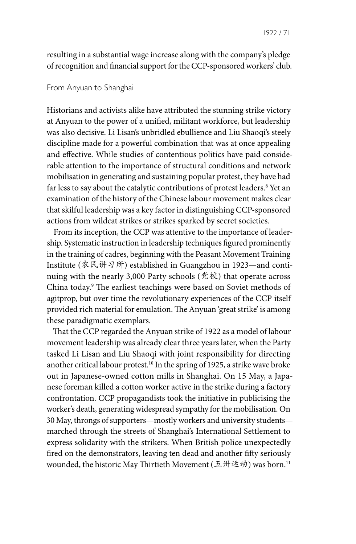resulting in a substantial wage increase along with the company's pledge of recognition and financial support for the CCP-sponsored workers' club.

## From Anyuan to Shanghai

Historians and activists alike have attributed the stunning strike victory at Anyuan to the power of a unified, militant workforce, but leadership was also decisive. Li Lisan's unbridled ebullience and Liu Shaoqi's steely discipline made for a powerful combination that was at once appealing and effective. While studies of contentious politics have paid considerable attention to the importance of structural conditions and network mobilisation in generating and sustaining popular protest, they have had far less to say about the catalytic contributions of protest leaders.<sup>8</sup> Yet an examination of the history of the Chinese labour movement makes clear that skilful leadership was a key factor in distinguishing CCP-sponsored actions from wildcat strikes or strikes sparked by secret societies.

From its inception, the CCP was attentive to the importance of leadership. Systematic instruction in leadership techniques figured prominently in the training of cadres, beginning with the Peasant Movement Training Institute (农民讲习所) established in Guangzhou in 1923—and continuing with the nearly 3,000 Party schools (党校) that operate across China today.9 The earliest teachings were based on Soviet methods of agitprop, but over time the revolutionary experiences of the CCP itself provided rich material for emulation. The Anyuan 'great strike' is among these paradigmatic exemplars.

That the CCP regarded the Anyuan strike of 1922 as a model of labour movement leadership was already clear three years later, when the Party tasked Li Lisan and Liu Shaoqi with joint responsibility for directing another critical labour protest.<sup>10</sup> In the spring of 1925, a strike wave broke out in Japanese-owned cotton mills in Shanghai. On 15 May, a Japanese foreman killed a cotton worker active in the strike during a factory confrontation. CCP propagandists took the initiative in publicising the worker's death, generating widespread sympathy for the mobilisation. On 30 May, throngs of supporters—mostly workers and university students marched through the streets of Shanghai's International Settlement to express solidarity with the strikers. When British police unexpectedly fired on the demonstrators, leaving ten dead and another fifty seriously wounded, the historic May Thirtieth Movement (五卅运动) was born.<sup>11</sup>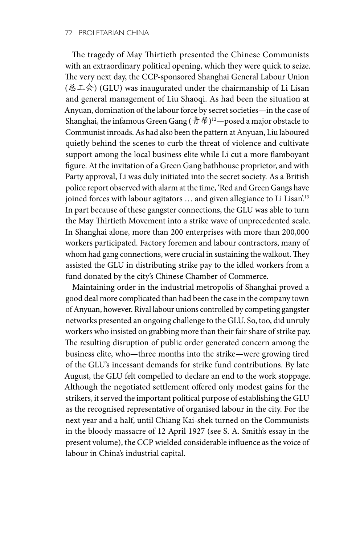The tragedy of May Thirtieth presented the Chinese Communists with an extraordinary political opening, which they were quick to seize. The very next day, the CCP-sponsored Shanghai General Labour Union (总工会) (GLU) was inaugurated under the chairmanship of Li Lisan and general management of Liu Shaoqi. As had been the situation at Anyuan, domination of the labour force by secret societies—in the case of Shanghai, the infamous Green Gang (青帮)12—posed a major obstacle to Communist inroads. As had also been the pattern at Anyuan, Liu laboured quietly behind the scenes to curb the threat of violence and cultivate support among the local business elite while Li cut a more flamboyant figure. At the invitation of a Green Gang bathhouse proprietor, and with Party approval, Li was duly initiated into the secret society. As a British police report observed with alarm at the time, 'Red and Green Gangs have joined forces with labour agitators ... and given allegiance to Li Lisan'.<sup>13</sup> In part because of these gangster connections, the GLU was able to turn the May Thirtieth Movement into a strike wave of unprecedented scale. In Shanghai alone, more than 200 enterprises with more than 200,000 workers participated. Factory foremen and labour contractors, many of whom had gang connections, were crucial in sustaining the walkout. They assisted the GLU in distributing strike pay to the idled workers from a fund donated by the city's Chinese Chamber of Commerce.

Maintaining order in the industrial metropolis of Shanghai proved a good deal more complicated than had been the case in the company town of Anyuan, however. Rival labour unions controlled by competing gangster networks presented an ongoing challenge to the GLU. So, too, did unruly workers who insisted on grabbing more than their fair share of strike pay. The resulting disruption of public order generated concern among the business elite, who—three months into the strike—were growing tired of the GLU's incessant demands for strike fund contributions. By late August, the GLU felt compelled to declare an end to the work stoppage. Although the negotiated settlement offered only modest gains for the strikers, it served the important political purpose of establishing the GLU as the recognised representative of organised labour in the city. For the next year and a half, until Chiang Kai-shek turned on the Communists in the bloody massacre of 12 April 1927 (see S. A. Smith's essay in the present volume), the CCP wielded considerable influence as the voice of labour in China's industrial capital.